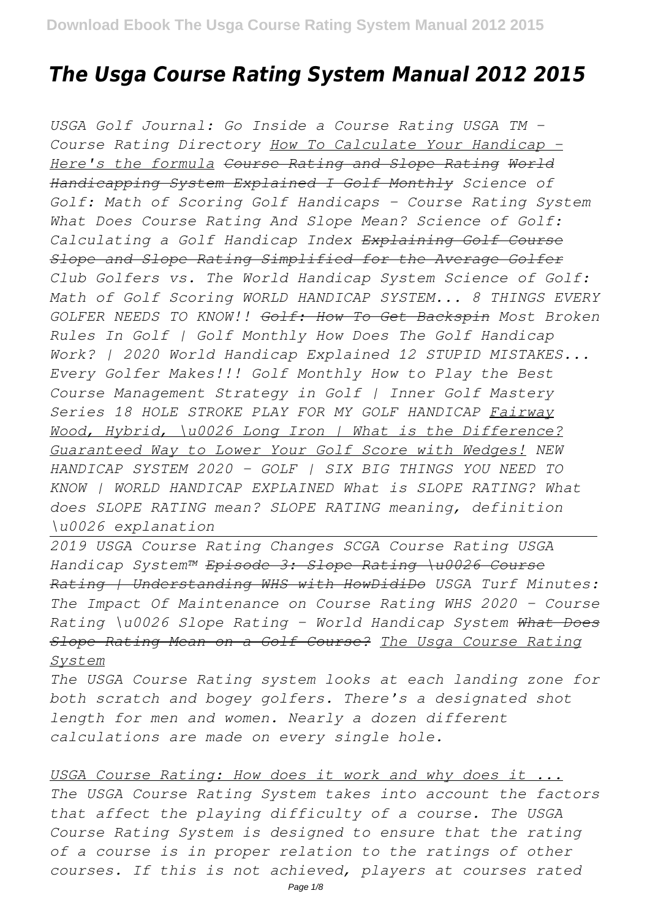# *The Usga Course Rating System Manual 2012 2015*

*USGA Golf Journal: Go Inside a Course Rating USGA TM - Course Rating Directory How To Calculate Your Handicap - Here's the formula Course Rating and Slope Rating World Handicapping System Explained I Golf Monthly Science of Golf: Math of Scoring Golf Handicaps - Course Rating System What Does Course Rating And Slope Mean? Science of Golf: Calculating a Golf Handicap Index Explaining Golf Course Slope and Slope Rating Simplified for the Average Golfer Club Golfers vs. The World Handicap System Science of Golf: Math of Golf Scoring WORLD HANDICAP SYSTEM... 8 THINGS EVERY GOLFER NEEDS TO KNOW!! Golf: How To Get Backspin Most Broken Rules In Golf | Golf Monthly How Does The Golf Handicap Work? | 2020 World Handicap Explained 12 STUPID MISTAKES... Every Golfer Makes!!! Golf Monthly How to Play the Best Course Management Strategy in Golf | Inner Golf Mastery Series 18 HOLE STROKE PLAY FOR MY GOLF HANDICAP Fairway Wood, Hybrid, \u0026 Long Iron | What is the Difference? Guaranteed Way to Lower Your Golf Score with Wedges! NEW HANDICAP SYSTEM 2020 - GOLF | SIX BIG THINGS YOU NEED TO KNOW | WORLD HANDICAP EXPLAINED What is SLOPE RATING? What does SLOPE RATING mean? SLOPE RATING meaning, definition \u0026 explanation* 

*2019 USGA Course Rating Changes SCGA Course Rating USGA Handicap System™ Episode 3: Slope Rating \u0026 Course Rating | Understanding WHS with HowDidiDo USGA Turf Minutes: The Impact Of Maintenance on Course Rating WHS 2020 – Course Rating \u0026 Slope Rating – World Handicap System What Does Slope Rating Mean on a Golf Course? The Usga Course Rating System*

*The USGA Course Rating system looks at each landing zone for both scratch and bogey golfers. There's a designated shot length for men and women. Nearly a dozen different calculations are made on every single hole.*

*USGA Course Rating: How does it work and why does it ... The USGA Course Rating System takes into account the factors that affect the playing difficulty of a course. The USGA Course Rating System is designed to ensure that the rating of a course is in proper relation to the ratings of other courses. If this is not achieved, players at courses rated*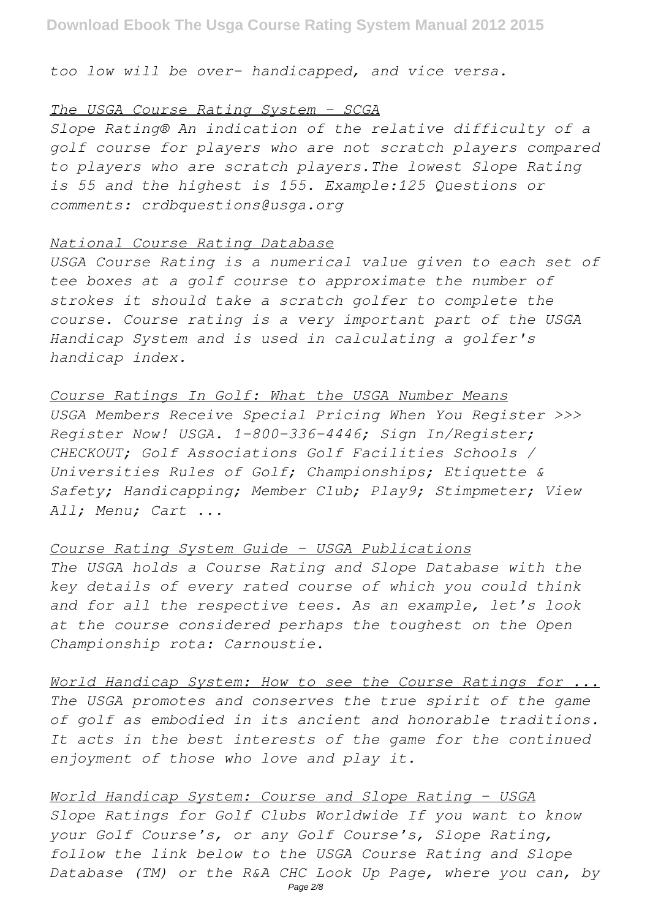*too low will be over- handicapped, and vice versa.*

### *The USGA Course Rating System - SCGA*

*Slope Rating® An indication of the relative difficulty of a golf course for players who are not scratch players compared to players who are scratch players.The lowest Slope Rating is 55 and the highest is 155. Example:125 Questions or comments: crdbquestions@usga.org*

#### *National Course Rating Database*

*USGA Course Rating is a numerical value given to each set of tee boxes at a golf course to approximate the number of strokes it should take a scratch golfer to complete the course. Course rating is a very important part of the USGA Handicap System and is used in calculating a golfer's handicap index.*

#### *Course Ratings In Golf: What the USGA Number Means*

*USGA Members Receive Special Pricing When You Register >>> Register Now! USGA. 1-800-336-4446; Sign In/Register; CHECKOUT; Golf Associations Golf Facilities Schools / Universities Rules of Golf; Championships; Etiquette & Safety; Handicapping; Member Club; Play9; Stimpmeter; View All; Menu; Cart ...*

# *Course Rating System Guide - USGA Publications*

*The USGA holds a Course Rating and Slope Database with the key details of every rated course of which you could think and for all the respective tees. As an example, let's look at the course considered perhaps the toughest on the Open Championship rota: Carnoustie.*

*World Handicap System: How to see the Course Ratings for ... The USGA promotes and conserves the true spirit of the game of golf as embodied in its ancient and honorable traditions. It acts in the best interests of the game for the continued enjoyment of those who love and play it.*

*World Handicap System: Course and Slope Rating - USGA Slope Ratings for Golf Clubs Worldwide If you want to know your Golf Course's, or any Golf Course's, Slope Rating, follow the link below to the USGA Course Rating and Slope Database (TM) or the R&A CHC Look Up Page, where you can, by*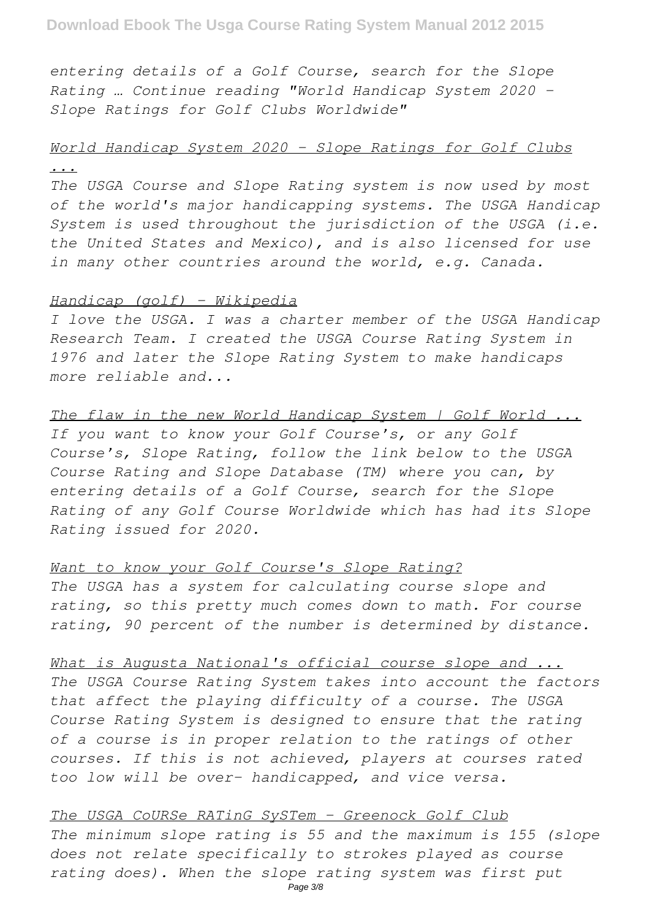*entering details of a Golf Course, search for the Slope Rating … Continue reading "World Handicap System 2020 – Slope Ratings for Golf Clubs Worldwide"*

# *World Handicap System 2020 - Slope Ratings for Golf Clubs ...*

*The USGA Course and Slope Rating system is now used by most of the world's major handicapping systems. The USGA Handicap System is used throughout the jurisdiction of the USGA (i.e. the United States and Mexico), and is also licensed for use in many other countries around the world, e.g. Canada.*

### *Handicap (golf) - Wikipedia*

*I love the USGA. I was a charter member of the USGA Handicap Research Team. I created the USGA Course Rating System in 1976 and later the Slope Rating System to make handicaps more reliable and...*

*The flaw in the new World Handicap System | Golf World ... If you want to know your Golf Course's, or any Golf Course's, Slope Rating, follow the link below to the USGA Course Rating and Slope Database (TM) where you can, by entering details of a Golf Course, search for the Slope Rating of any Golf Course Worldwide which has had its Slope Rating issued for 2020.*

## *Want to know your Golf Course's Slope Rating?*

*The USGA has a system for calculating course slope and rating, so this pretty much comes down to math. For course rating, 90 percent of the number is determined by distance.*

*What is Augusta National's official course slope and ... The USGA Course Rating System takes into account the factors that affect the playing difficulty of a course. The USGA Course Rating System is designed to ensure that the rating of a course is in proper relation to the ratings of other courses. If this is not achieved, players at courses rated too low will be over- handicapped, and vice versa.*

*The USGA CoURSe RATinG SySTem - Greenock Golf Club The minimum slope rating is 55 and the maximum is 155 (slope does not relate specifically to strokes played as course rating does). When the slope rating system was first put*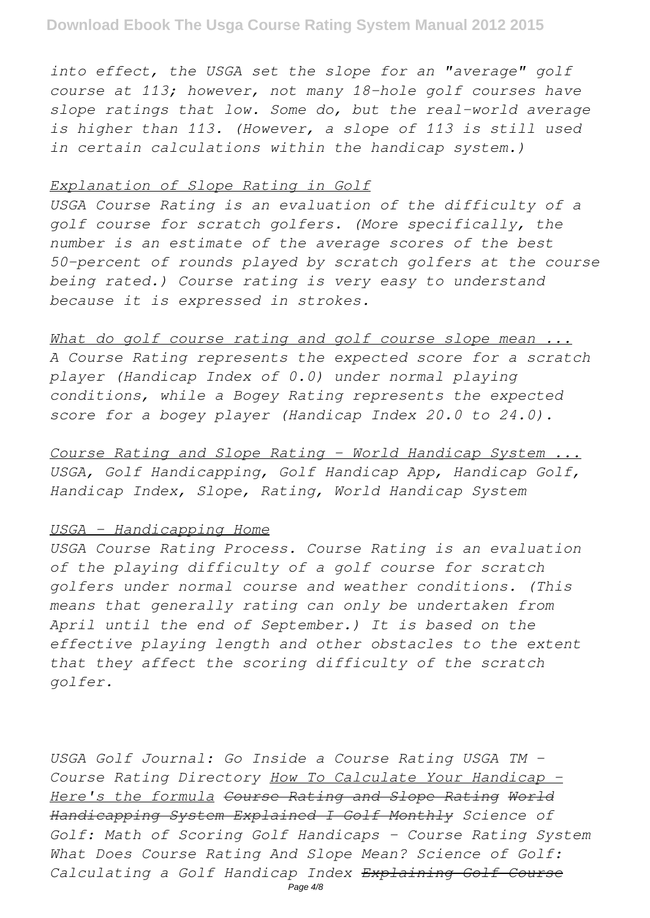*into effect, the USGA set the slope for an "average" golf course at 113; however, not many 18-hole golf courses have slope ratings that low. Some do, but the real-world average is higher than 113. (However, a slope of 113 is still used in certain calculations within the handicap system.)*

### *Explanation of Slope Rating in Golf*

*USGA Course Rating is an evaluation of the difficulty of a golf course for scratch golfers. (More specifically, the number is an estimate of the average scores of the best 50-percent of rounds played by scratch golfers at the course being rated.) Course rating is very easy to understand because it is expressed in strokes.*

*What do golf course rating and golf course slope mean ... A Course Rating represents the expected score for a scratch player (Handicap Index of 0.0) under normal playing conditions, while a Bogey Rating represents the expected score for a bogey player (Handicap Index 20.0 to 24.0).*

*Course Rating and Slope Rating - World Handicap System ... USGA, Golf Handicapping, Golf Handicap App, Handicap Golf, Handicap Index, Slope, Rating, World Handicap System*

#### *USGA - Handicapping Home*

*USGA Course Rating Process. Course Rating is an evaluation of the playing difficulty of a golf course for scratch golfers under normal course and weather conditions. (This means that generally rating can only be undertaken from April until the end of September.) It is based on the effective playing length and other obstacles to the extent that they affect the scoring difficulty of the scratch golfer.*

*USGA Golf Journal: Go Inside a Course Rating USGA TM - Course Rating Directory How To Calculate Your Handicap - Here's the formula Course Rating and Slope Rating World Handicapping System Explained I Golf Monthly Science of Golf: Math of Scoring Golf Handicaps - Course Rating System What Does Course Rating And Slope Mean? Science of Golf: Calculating a Golf Handicap Index Explaining Golf Course*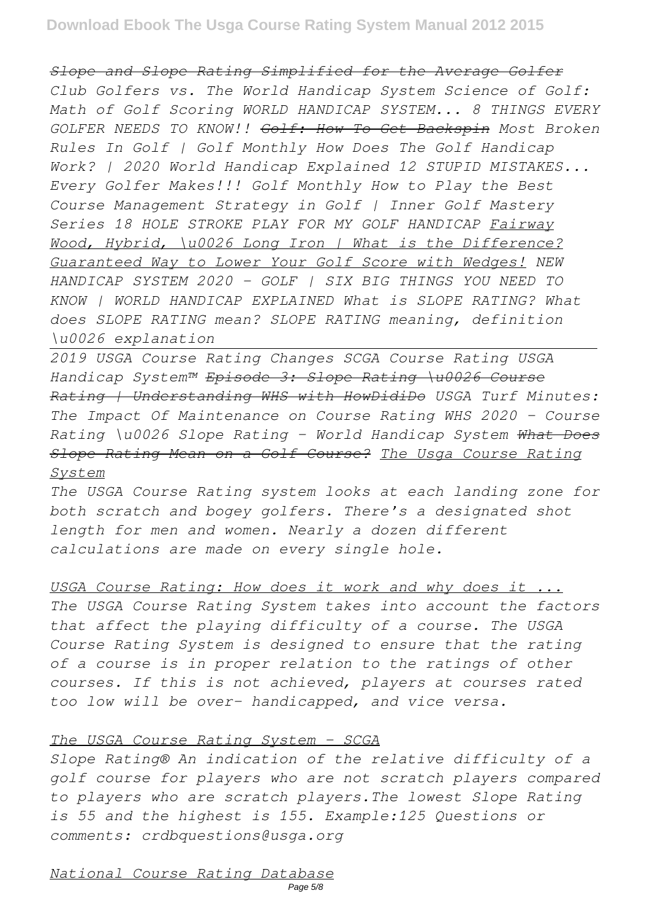# **Download Ebook The Usga Course Rating System Manual 2012 2015**

*Slope and Slope Rating Simplified for the Average Golfer Club Golfers vs. The World Handicap System Science of Golf: Math of Golf Scoring WORLD HANDICAP SYSTEM... 8 THINGS EVERY GOLFER NEEDS TO KNOW!! Golf: How To Get Backspin Most Broken Rules In Golf | Golf Monthly How Does The Golf Handicap Work? | 2020 World Handicap Explained 12 STUPID MISTAKES... Every Golfer Makes!!! Golf Monthly How to Play the Best Course Management Strategy in Golf | Inner Golf Mastery Series 18 HOLE STROKE PLAY FOR MY GOLF HANDICAP Fairway Wood, Hybrid, \u0026 Long Iron | What is the Difference? Guaranteed Way to Lower Your Golf Score with Wedges! NEW HANDICAP SYSTEM 2020 - GOLF | SIX BIG THINGS YOU NEED TO KNOW | WORLD HANDICAP EXPLAINED What is SLOPE RATING? What does SLOPE RATING mean? SLOPE RATING meaning, definition \u0026 explanation* 

*2019 USGA Course Rating Changes SCGA Course Rating USGA Handicap System™ Episode 3: Slope Rating \u0026 Course Rating | Understanding WHS with HowDidiDo USGA Turf Minutes: The Impact Of Maintenance on Course Rating WHS 2020 – Course Rating \u0026 Slope Rating – World Handicap System What Does Slope Rating Mean on a Golf Course? The Usga Course Rating System*

*The USGA Course Rating system looks at each landing zone for both scratch and bogey golfers. There's a designated shot length for men and women. Nearly a dozen different calculations are made on every single hole.*

*USGA Course Rating: How does it work and why does it ... The USGA Course Rating System takes into account the factors that affect the playing difficulty of a course. The USGA Course Rating System is designed to ensure that the rating of a course is in proper relation to the ratings of other courses. If this is not achieved, players at courses rated too low will be over- handicapped, and vice versa.*

## *The USGA Course Rating System - SCGA*

*Slope Rating® An indication of the relative difficulty of a golf course for players who are not scratch players compared to players who are scratch players.The lowest Slope Rating is 55 and the highest is 155. Example:125 Questions or comments: crdbquestions@usga.org*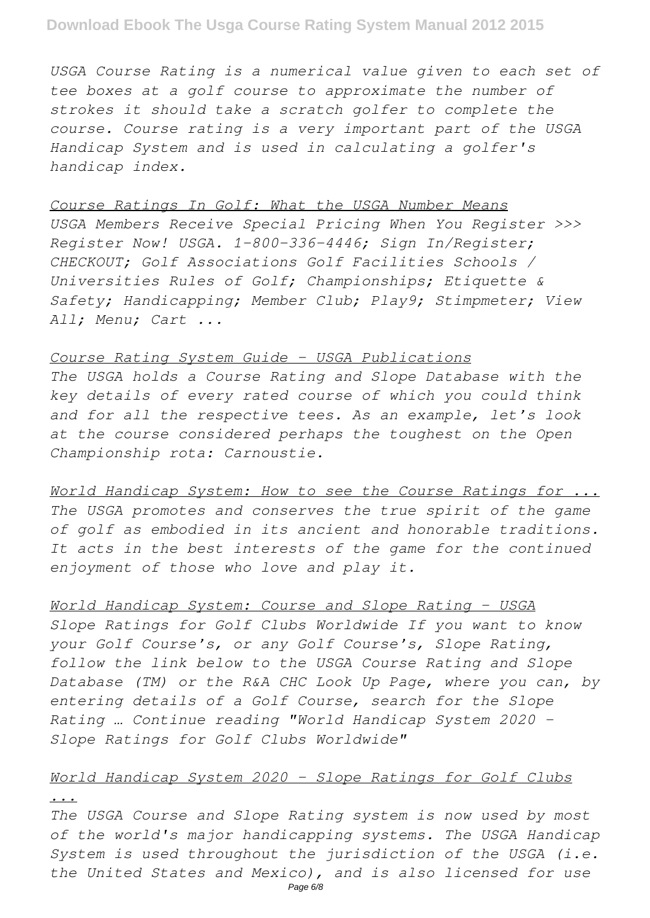*USGA Course Rating is a numerical value given to each set of tee boxes at a golf course to approximate the number of strokes it should take a scratch golfer to complete the course. Course rating is a very important part of the USGA Handicap System and is used in calculating a golfer's handicap index.*

#### *Course Ratings In Golf: What the USGA Number Means*

*USGA Members Receive Special Pricing When You Register >>> Register Now! USGA. 1-800-336-4446; Sign In/Register; CHECKOUT; Golf Associations Golf Facilities Schools / Universities Rules of Golf; Championships; Etiquette & Safety; Handicapping; Member Club; Play9; Stimpmeter; View All; Menu; Cart ...*

## *Course Rating System Guide - USGA Publications*

*The USGA holds a Course Rating and Slope Database with the key details of every rated course of which you could think and for all the respective tees. As an example, let's look at the course considered perhaps the toughest on the Open Championship rota: Carnoustie.*

*World Handicap System: How to see the Course Ratings for ... The USGA promotes and conserves the true spirit of the game of golf as embodied in its ancient and honorable traditions. It acts in the best interests of the game for the continued enjoyment of those who love and play it.*

# *World Handicap System: Course and Slope Rating - USGA*

*Slope Ratings for Golf Clubs Worldwide If you want to know your Golf Course's, or any Golf Course's, Slope Rating, follow the link below to the USGA Course Rating and Slope Database (TM) or the R&A CHC Look Up Page, where you can, by entering details of a Golf Course, search for the Slope Rating … Continue reading "World Handicap System 2020 – Slope Ratings for Golf Clubs Worldwide"*

# *World Handicap System 2020 - Slope Ratings for Golf Clubs*

#### *...*

*The USGA Course and Slope Rating system is now used by most of the world's major handicapping systems. The USGA Handicap System is used throughout the jurisdiction of the USGA (i.e. the United States and Mexico), and is also licensed for use*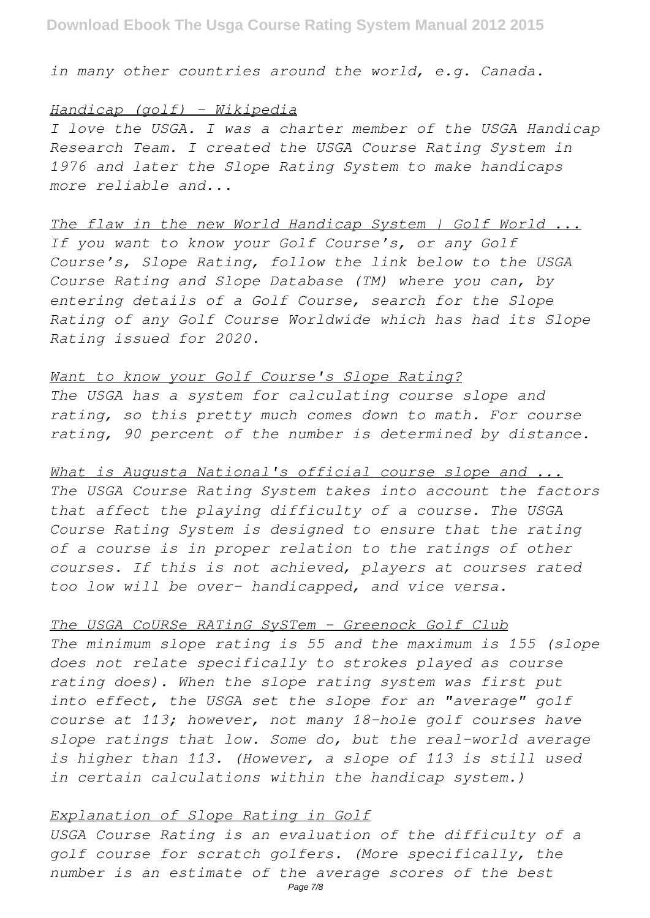*in many other countries around the world, e.g. Canada.*

#### *Handicap (golf) - Wikipedia*

*I love the USGA. I was a charter member of the USGA Handicap Research Team. I created the USGA Course Rating System in 1976 and later the Slope Rating System to make handicaps more reliable and...*

# *The flaw in the new World Handicap System | Golf World ...*

*If you want to know your Golf Course's, or any Golf Course's, Slope Rating, follow the link below to the USGA Course Rating and Slope Database (TM) where you can, by entering details of a Golf Course, search for the Slope Rating of any Golf Course Worldwide which has had its Slope Rating issued for 2020.*

#### *Want to know your Golf Course's Slope Rating?*

*The USGA has a system for calculating course slope and rating, so this pretty much comes down to math. For course rating, 90 percent of the number is determined by distance.*

### *What is Augusta National's official course slope and ...*

*The USGA Course Rating System takes into account the factors that affect the playing difficulty of a course. The USGA Course Rating System is designed to ensure that the rating of a course is in proper relation to the ratings of other courses. If this is not achieved, players at courses rated too low will be over- handicapped, and vice versa.*

#### *The USGA CoURSe RATinG SySTem - Greenock Golf Club*

*The minimum slope rating is 55 and the maximum is 155 (slope does not relate specifically to strokes played as course rating does). When the slope rating system was first put into effect, the USGA set the slope for an "average" golf course at 113; however, not many 18-hole golf courses have slope ratings that low. Some do, but the real-world average is higher than 113. (However, a slope of 113 is still used in certain calculations within the handicap system.)*

### *Explanation of Slope Rating in Golf*

*USGA Course Rating is an evaluation of the difficulty of a golf course for scratch golfers. (More specifically, the number is an estimate of the average scores of the best*